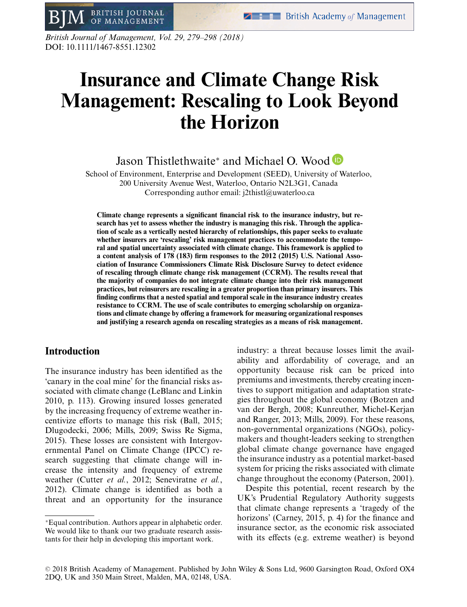*British Journal of Management, Vol. 29, 279–298 (2018)* DOI: 10.1111/1467-8551.12302

**BRITISH JOURNAL** 

OF MANAGEMENT

# **Insurance and Climate Change Risk Management: Rescaling to Look Beyond the Horizon**

Jason Thistlethwaite<sup>∗</sup> and Michael O. Wood

School of Environment, Enterprise and Development (SEED), University of Waterloo, 200 University Avenue West, Waterloo, Ontario N2L3G1, Canada Corresponding author email: j2thistl@uwaterloo.ca

**Climate change represents a significant financial risk to the insurance industry, but research has yet to assess whether the industry is managing this risk. Through the application of scale as a vertically nested hierarchy of relationships, this paper seeks to evaluate whether insurers are 'rescaling' risk management practices to accommodate the temporal and spatial uncertainty associated with climate change. This framework is applied to a content analysis of 178 (183) firm responses to the 2012 (2015) U.S. National Association of Insurance Commissioners Climate Risk Disclosure Survey to detect evidence of rescaling through climate change risk management (CCRM). The results reveal that the majority of companies do not integrate climate change into their risk management practices, but reinsurers are rescaling in a greater proportion than primary insurers. This finding confirms that a nested spatial and temporal scale in the insurance industry creates resistance to CCRM. The use of scale contributes to emerging scholarship on organizations and climate change by offering a framework for measuring organizational responses and justifying a research agenda on rescaling strategies as a means of risk management.**

# **Introduction**

The insurance industry has been identified as the 'canary in the coal mine' for the financial risks associated with climate change (LeBlanc and Linkin 2010, p. 113). Growing insured losses generated by the increasing frequency of extreme weather incentivize efforts to manage this risk (Ball, 2015; Dlugodecki, 2006; Mills, 2009; Swiss Re Sigma, 2015). These losses are consistent with Intergovernmental Panel on Climate Change (IPCC) research suggesting that climate change will increase the intensity and frequency of extreme weather (Cutter *et al.*, 2012; Seneviratne *et al.*, 2012). Climate change is identified as both a threat and an opportunity for the insurance industry: a threat because losses limit the availability and affordability of coverage, and an opportunity because risk can be priced into premiums and investments, thereby creating incentives to support mitigation and adaptation strategies throughout the global economy (Botzen and van der Bergh, 2008; Kunreuther, Michel-Kerjan and Ranger, 2013; Mills, 2009). For these reasons, non-governmental organizations (NGOs), policymakers and thought-leaders seeking to strengthen global climate change governance have engaged the insurance industry as a potential market-based system for pricing the risks associated with climate change throughout the economy (Paterson, 2001).

Despite this potential, recent research by the UK's Prudential Regulatory Authority suggests that climate change represents a 'tragedy of the horizons' (Carney, 2015, p. 4) for the finance and insurance sector, as the economic risk associated with its effects (e.g. extreme weather) is beyond

<sup>∗</sup>Equal contribution. Authors appear in alphabetic order. We would like to thank our two graduate research assistants for their help in developing this important work.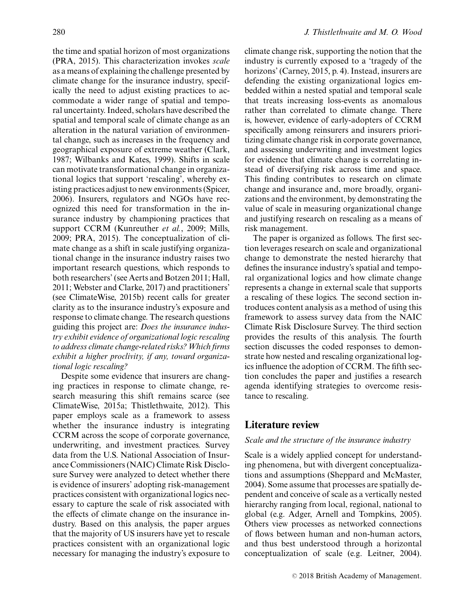the time and spatial horizon of most organizations (PRA, 2015). This characterization invokes *scale* as a means of explaining the challenge presented by climate change for the insurance industry, specifically the need to adjust existing practices to accommodate a wider range of spatial and temporal uncertainty. Indeed, scholars have described the spatial and temporal scale of climate change as an alteration in the natural variation of environmental change, such as increases in the frequency and geographical exposure of extreme weather (Clark, 1987; Wilbanks and Kates, 1999). Shifts in scale can motivate transformational change in organizational logics that support 'rescaling', whereby existing practices adjust to new environments (Spicer, 2006). Insurers, regulators and NGOs have recognized this need for transformation in the insurance industry by championing practices that support CCRM (Kunreuther *et al.*, 2009; Mills, 2009; PRA, 2015). The conceptualization of climate change as a shift in scale justifying organizational change in the insurance industry raises two important research questions, which responds to both researchers' (see Aerts and Botzen 2011; Hall, 2011; Webster and Clarke, 2017) and practitioners' (see ClimateWise, 2015b) recent calls for greater clarity as to the insurance industry's exposure and response to climate change. The research questions guiding this project are: *Does the insurance industry exhibit evidence of organizational logic rescaling to address climate change-related risks? Which firms exhibit a higher proclivity, if any, toward organizational logic rescaling?*

Despite some evidence that insurers are changing practices in response to climate change, research measuring this shift remains scarce (see ClimateWise, 2015a; Thistlethwaite, 2012). This paper employs scale as a framework to assess whether the insurance industry is integrating CCRM across the scope of corporate governance, underwriting, and investment practices. Survey data from the U.S. National Association of Insurance Commissioners (NAIC) Climate Risk Disclosure Survey were analyzed to detect whether there is evidence of insurers' adopting risk-management practices consistent with organizational logics necessary to capture the scale of risk associated with the effects of climate change on the insurance industry. Based on this analysis, the paper argues that the majority of US insurers have yet to rescale practices consistent with an organizational logic necessary for managing the industry's exposure to climate change risk, supporting the notion that the industry is currently exposed to a 'tragedy of the horizons' (Carney, 2015, p. 4). Instead, insurers are defending the existing organizational logics embedded within a nested spatial and temporal scale that treats increasing loss-events as anomalous rather than correlated to climate change. There is, however, evidence of early-adopters of CCRM specifically among reinsurers and insurers prioritizing climate change risk in corporate governance, and assessing underwriting and investment logics for evidence that climate change is correlating instead of diversifying risk across time and space. This finding contributes to research on climate change and insurance and, more broadly, organizations and the environment, by demonstrating the value of scale in measuring organizational change and justifying research on rescaling as a means of risk management.

The paper is organized as follows. The first section leverages research on scale and organizational change to demonstrate the nested hierarchy that defines the insurance industry's spatial and temporal organizational logics and how climate change represents a change in external scale that supports a rescaling of these logics. The second section introduces content analysis as a method of using this framework to assess survey data from the NAIC Climate Risk Disclosure Survey. The third section provides the results of this analysis. The fourth section discusses the coded responses to demonstrate how nested and rescaling organizational logics influence the adoption of CCRM. The fifth section concludes the paper and justifies a research agenda identifying strategies to overcome resistance to rescaling.

## **Literature review**

#### *Scale and the structure of the insurance industry*

Scale is a widely applied concept for understanding phenomena, but with divergent conceptualizations and assumptions (Sheppard and McMaster, 2004). Some assume that processes are spatially dependent and conceive of scale as a vertically nested hierarchy ranging from local, regional, national to global (e.g. Adger, Arnell and Tompkins, 2005). Others view processes as networked connections of flows between human and non-human actors, and thus best understood through a horizontal conceptualization of scale (e.g. Leitner, 2004).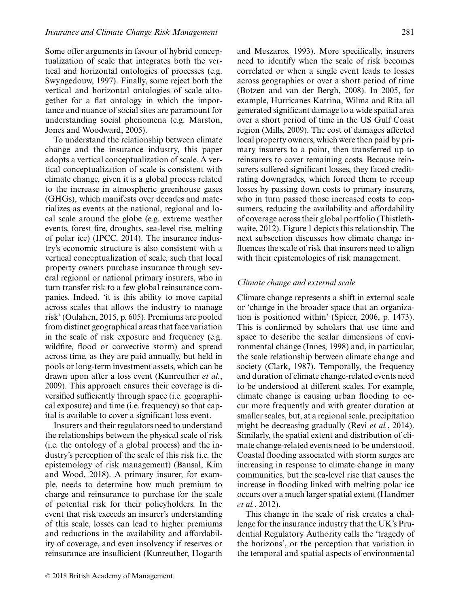Some offer arguments in favour of hybrid conceptualization of scale that integrates both the vertical and horizontal ontologies of processes (e.g. Swyngedouw, 1997). Finally, some reject both the vertical and horizontal ontologies of scale altogether for a flat ontology in which the importance and nuance of social sites are paramount for understanding social phenomena (e.g. Marston, Jones and Woodward, 2005).

To understand the relationship between climate change and the insurance industry, this paper adopts a vertical conceptualization of scale. A vertical conceptualization of scale is consistent with climate change, given it is a global process related to the increase in atmospheric greenhouse gases (GHGs), which manifests over decades and materializes as events at the national, regional and local scale around the globe (e.g. extreme weather events, forest fire, droughts, sea-level rise, melting of polar ice) (IPCC, 2014). The insurance industry's economic structure is also consistent with a vertical conceptualization of scale, such that local property owners purchase insurance through several regional or national primary insurers, who in turn transfer risk to a few global reinsurance companies. Indeed, 'it is this ability to move capital across scales that allows the industry to manage risk' (Oulahen, 2015, p. 605). Premiums are pooled from distinct geographical areas that face variation in the scale of risk exposure and frequency (e.g. wildfire, flood or convective storm) and spread across time, as they are paid annually, but held in pools or long-term investment assets, which can be drawn upon after a loss event (Kunreuther *et al.*, 2009). This approach ensures their coverage is diversified sufficiently through space (i.e. geographical exposure) and time (i.e. frequency) so that capital is available to cover a significant loss event.

Insurers and their regulators need to understand the relationships between the physical scale of risk (i.e. the ontology of a global process) and the industry's perception of the scale of this risk (i.e. the epistemology of risk management) (Bansal, Kim and Wood, 2018). A primary insurer, for example, needs to determine how much premium to charge and reinsurance to purchase for the scale of potential risk for their policyholders. In the event that risk exceeds an insurer's understanding of this scale, losses can lead to higher premiums and reductions in the availability and affordability of coverage, and even insolvency if reserves or reinsurance are insufficient (Kunreuther, Hogarth and Meszaros, 1993). More specifically, insurers need to identify when the scale of risk becomes correlated or when a single event leads to losses across geographies or over a short period of time (Botzen and van der Bergh, 2008). In 2005, for example, Hurricanes Katrina, Wilma and Rita all generated significant damage to a wide spatial area over a short period of time in the US Gulf Coast region (Mills, 2009). The cost of damages affected local property owners, which were then paid by primary insurers to a point, then transferred up to reinsurers to cover remaining costs. Because reinsurers suffered significant losses, they faced creditrating downgrades, which forced them to recoup losses by passing down costs to primary insurers, who in turn passed those increased costs to consumers, reducing the availability and affordability of coverage across their global portfolio (Thistlethwaite, 2012). Figure 1 depicts this relationship. The next subsection discusses how climate change in-

fluences the scale of risk that insurers need to align with their epistemologies of risk management.

## *Climate change and external scale*

Climate change represents a shift in external scale or 'change in the broader space that an organization is positioned within' (Spicer, 2006, p. 1473). This is confirmed by scholars that use time and space to describe the scalar dimensions of environmental change (Innes, 1998) and, in particular, the scale relationship between climate change and society (Clark, 1987). Temporally, the frequency and duration of climate change-related events need to be understood at different scales. For example, climate change is causing urban flooding to occur more frequently and with greater duration at smaller scales, but, at a regional scale, precipitation might be decreasing gradually (Revi *et al.*, 2014). Similarly, the spatial extent and distribution of climate change-related events need to be understood. Coastal flooding associated with storm surges are increasing in response to climate change in many communities, but the sea-level rise that causes the increase in flooding linked with melting polar ice occurs over a much larger spatial extent (Handmer *et al.*, 2012).

This change in the scale of risk creates a challenge for the insurance industry that the UK's Prudential Regulatory Authority calls the 'tragedy of the horizons', or the perception that variation in the temporal and spatial aspects of environmental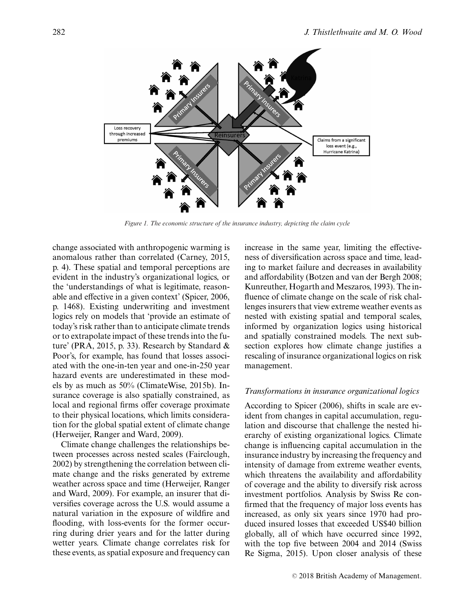

*Figure 1. The economic structure of the insurance industry, depicting the claim cycle*

change associated with anthropogenic warming is anomalous rather than correlated (Carney, 2015, p. 4). These spatial and temporal perceptions are evident in the industry's organizational logics, or the 'understandings of what is legitimate, reasonable and effective in a given context' (Spicer, 2006, p. 1468). Existing underwriting and investment logics rely on models that 'provide an estimate of today's risk rather than to anticipate climate trends or to extrapolate impact of these trends into the future' (PRA, 2015, p. 33). Research by Standard & Poor's, for example, has found that losses associated with the one-in-ten year and one-in-250 year hazard events are underestimated in these models by as much as 50% (ClimateWise, 2015b). Insurance coverage is also spatially constrained, as local and regional firms offer coverage proximate to their physical locations, which limits consideration for the global spatial extent of climate change (Herweijer, Ranger and Ward, 2009).

Climate change challenges the relationships between processes across nested scales (Fairclough, 2002) by strengthening the correlation between climate change and the risks generated by extreme weather across space and time (Herweijer, Ranger and Ward, 2009). For example, an insurer that diversifies coverage across the U.S. would assume a natural variation in the exposure of wildfire and flooding, with loss-events for the former occurring during drier years and for the latter during wetter years. Climate change correlates risk for these events, as spatial exposure and frequency can increase in the same year, limiting the effectiveness of diversification across space and time, leading to market failure and decreases in availability and affordability (Botzen and van der Bergh 2008; Kunreuther, Hogarth and Meszaros, 1993). The influence of climate change on the scale of risk challenges insurers that view extreme weather events as nested with existing spatial and temporal scales, informed by organization logics using historical and spatially constrained models. The next subsection explores how climate change justifies a rescaling of insurance organizational logics on risk management.

#### *Transformations in insurance organizational logics*

According to Spicer (2006), shifts in scale are evident from changes in capital accumulation, regulation and discourse that challenge the nested hierarchy of existing organizational logics. Climate change is influencing capital accumulation in the insurance industry by increasing the frequency and intensity of damage from extreme weather events, which threatens the availability and affordability of coverage and the ability to diversify risk across investment portfolios. Analysis by Swiss Re confirmed that the frequency of major loss events has increased, as only six years since 1970 had produced insured losses that exceeded US\$40 billion globally, all of which have occurred since 1992, with the top five between 2004 and 2014 (Swiss Re Sigma, 2015). Upon closer analysis of these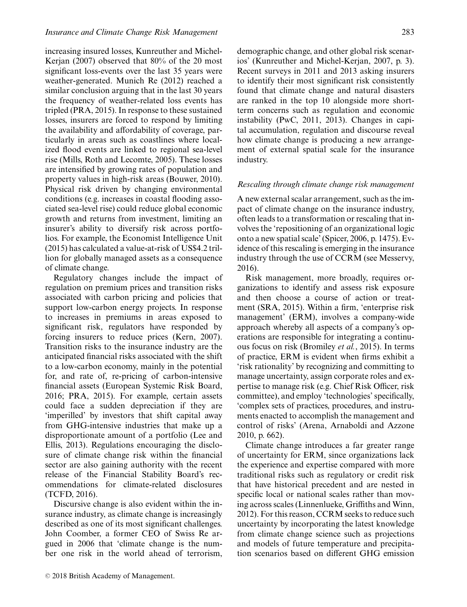increasing insured losses, Kunreuther and Michel-Kerjan (2007) observed that 80% of the 20 most significant loss-events over the last 35 years were weather-generated. Munich Re (2012) reached a similar conclusion arguing that in the last 30 years the frequency of weather-related loss events has tripled (PRA, 2015). In response to these sustained losses, insurers are forced to respond by limiting the availability and affordability of coverage, particularly in areas such as coastlines where localized flood events are linked to regional sea-level rise (Mills, Roth and Lecomte, 2005). These losses are intensified by growing rates of population and property values in high-risk areas (Bouwer, 2010). Physical risk driven by changing environmental conditions (e.g. increases in coastal flooding associated sea-level rise) could reduce global economic growth and returns from investment, limiting an insurer's ability to diversify risk across portfolios. For example, the Economist Intelligence Unit (2015) has calculated a value-at-risk of US\$4.2 trillion for globally managed assets as a consequence of climate change.

Regulatory changes include the impact of regulation on premium prices and transition risks associated with carbon pricing and policies that support low-carbon energy projects. In response to increases in premiums in areas exposed to significant risk, regulators have responded by forcing insurers to reduce prices (Kern, 2007). Transition risks to the insurance industry are the anticipated financial risks associated with the shift to a low-carbon economy, mainly in the potential for, and rate of, re-pricing of carbon-intensive financial assets (European Systemic Risk Board, 2016; PRA, 2015). For example, certain assets could face a sudden depreciation if they are 'imperilled' by investors that shift capital away from GHG-intensive industries that make up a disproportionate amount of a portfolio (Lee and Ellis, 2013). Regulations encouraging the disclosure of climate change risk within the financial sector are also gaining authority with the recent release of the Financial Stability Board's recommendations for climate-related disclosures (TCFD, 2016).

Discursive change is also evident within the insurance industry, as climate change is increasingly described as one of its most significant challenges. John Coomber, a former CEO of Swiss Re argued in 2006 that 'climate change is the number one risk in the world ahead of terrorism, demographic change, and other global risk scenarios' (Kunreuther and Michel-Kerjan, 2007, p. 3). Recent surveys in 2011 and 2013 asking insurers to identify their most significant risk consistently found that climate change and natural disasters are ranked in the top 10 alongside more shortterm concerns such as regulation and economic instability (PwC, 2011, 2013). Changes in capital accumulation, regulation and discourse reveal how climate change is producing a new arrangement of external spatial scale for the insurance industry.

## *Rescaling through climate change risk management*

A new external scalar arrangement, such as the impact of climate change on the insurance industry, often leads to a transformation or rescaling that involves the 'repositioning of an organizational logic onto a new spatial scale' (Spicer, 2006, p. 1475). Evidence of this rescaling is emerging in the insurance industry through the use of CCRM (see Messervy, 2016).

Risk management, more broadly, requires organizations to identify and assess risk exposure and then choose a course of action or treatment (SRA, 2015). Within a firm, 'enterprise risk management' (ERM), involves a company-wide approach whereby all aspects of a company's operations are responsible for integrating a continuous focus on risk (Bromiley *et al.*, 2015). In terms of practice, ERM is evident when firms exhibit a 'risk rationality' by recognizing and committing to manage uncertainty, assign corporate roles and expertise to manage risk (e.g. Chief Risk Officer, risk committee), and employ 'technologies' specifically, 'complex sets of practices, procedures, and instruments enacted to accomplish the management and control of risks' (Arena, Arnaboldi and Azzone 2010, p. 662).

Climate change introduces a far greater range of uncertainty for ERM, since organizations lack the experience and expertise compared with more traditional risks such as regulatory or credit risk that have historical precedent and are nested in specific local or national scales rather than moving across scales (Linnenlueke, Griffiths and Winn, 2012). For this reason, CCRM seeks to reduce such uncertainty by incorporating the latest knowledge from climate change science such as projections and models of future temperature and precipitation scenarios based on different GHG emission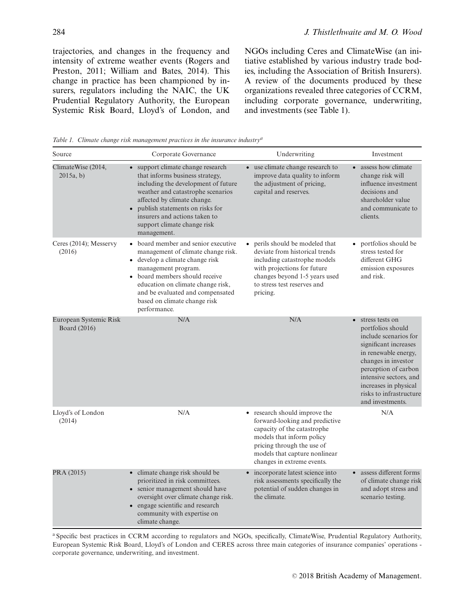trajectories, and changes in the frequency and intensity of extreme weather events (Rogers and Preston, 2011; William and Bates, 2014). This change in practice has been championed by insurers, regulators including the NAIC, the UK Prudential Regulatory Authority, the European Systemic Risk Board, Lloyd's of London, and NGOs including Ceres and ClimateWise (an initiative established by various industry trade bodies, including the Association of British Insurers). A review of the documents produced by these organizations revealed three categories of CCRM, including corporate governance, underwriting, and investments (see Table 1).

*Table 1. Climate change risk management practices in the insurance industrya*

| Source                                 | Corporate Governance                                                                                                                                                                                                                                                                                           | Underwriting                                                                                                                                                                                                                        | Investment                                                                                                                                                                                                                                                                   |
|----------------------------------------|----------------------------------------------------------------------------------------------------------------------------------------------------------------------------------------------------------------------------------------------------------------------------------------------------------------|-------------------------------------------------------------------------------------------------------------------------------------------------------------------------------------------------------------------------------------|------------------------------------------------------------------------------------------------------------------------------------------------------------------------------------------------------------------------------------------------------------------------------|
| ClimateWise (2014,<br>2015a, b)        | • support climate change research<br>that informs business strategy,<br>including the development of future<br>weather and catastrophe scenarios<br>affected by climate change.<br>publish statements on risks for<br>$\bullet$<br>insurers and actions taken to<br>support climate change risk<br>management. | use climate change research to<br>$\bullet$<br>improve data quality to inform<br>the adjustment of pricing,<br>capital and reserves.                                                                                                | • assess how climate<br>change risk will<br>influence investment<br>decisions and<br>shareholder value<br>and communicate to<br>clients.                                                                                                                                     |
| Ceres (2014); Messervy<br>(2016)       | • board member and senior executive<br>management of climate change risk.<br>• develop a climate change risk<br>management program.<br>• board members should receive<br>education on climate change risk,<br>and be evaluated and compensated<br>based on climate change risk<br>performance.                 | perils should be modeled that<br>deviate from historical trends<br>including catastrophe models<br>with projections for future<br>changes beyond 1-5 years used<br>to stress test reserves and<br>pricing.                          | portfolios should be<br>$\bullet$<br>stress tested for<br>different GHG<br>emission exposures<br>and risk.                                                                                                                                                                   |
| European Systemic Risk<br>Board (2016) | N/A                                                                                                                                                                                                                                                                                                            | N/A                                                                                                                                                                                                                                 | stress tests on<br>$\bullet$<br>portfolios should<br>include scenarios for<br>significant increases<br>in renewable energy,<br>changes in investor<br>perception of carbon<br>intensive sectors, and<br>increases in physical<br>risks to infrastructure<br>and investments. |
| Lloyd's of London<br>(2014)            | N/A                                                                                                                                                                                                                                                                                                            | research should improve the<br>$\bullet$<br>forward-looking and predictive<br>capacity of the catastrophe<br>models that inform policy<br>pricing through the use of<br>models that capture nonlinear<br>changes in extreme events. | N/A                                                                                                                                                                                                                                                                          |
| PRA (2015)                             | • climate change risk should be<br>prioritized in risk committees.<br>• senior management should have<br>oversight over climate change risk.<br>• engage scientific and research<br>community with expertise on<br>climate change.                                                                             | incorporate latest science into<br>risk assessments specifically the<br>potential of sudden changes in<br>the climate.                                                                                                              | assess different forms<br>of climate change risk<br>and adopt stress and<br>scenario testing.                                                                                                                                                                                |

<sup>a</sup> Specific best practices in CCRM according to regulators and NGOs, specifically, ClimateWise, Prudential Regulatory Authority, European Systemic Risk Board, Lloyd's of London and CERES across three main categories of insurance companies' operations corporate governance, underwriting, and investment.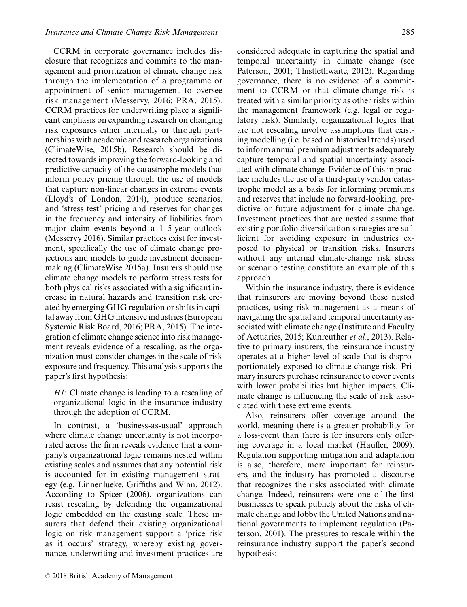CCRM in corporate governance includes disclosure that recognizes and commits to the management and prioritization of climate change risk through the implementation of a programme or appointment of senior management to oversee risk management (Messervy, 2016; PRA, 2015). CCRM practices for underwriting place a significant emphasis on expanding research on changing risk exposures either internally or through partnerships with academic and research organizations (ClimateWise, 2015b). Research should be directed towards improving the forward-looking and predictive capacity of the catastrophe models that inform policy pricing through the use of models that capture non-linear changes in extreme events (Lloyd's of London, 2014), produce scenarios, and 'stress test' pricing and reserves for changes in the frequency and intensity of liabilities from major claim events beyond a 1–5-year outlook (Messervy 2016). Similar practices exist for investment, specifically the use of climate change projections and models to guide investment decisionmaking (ClimateWise 2015a). Insurers should use climate change models to perform stress tests for both physical risks associated with a significant increase in natural hazards and transition risk created by emerging GHG regulation or shifts in capital away from GHG intensive industries (European Systemic Risk Board, 2016; PRA, 2015). The integration of climate change science into risk management reveals evidence of a rescaling, as the organization must consider changes in the scale of risk exposure and frequency. This analysis supports the paper's first hypothesis:

*H1*: Climate change is leading to a rescaling of organizational logic in the insurance industry through the adoption of CCRM.

In contrast, a 'business-as-usual' approach where climate change uncertainty is not incorporated across the firm reveals evidence that a company's organizational logic remains nested within existing scales and assumes that any potential risk is accounted for in existing management strategy (e.g. Linnenlueke, Griffiths and Winn, 2012). According to Spicer (2006), organizations can resist rescaling by defending the organizational logic embedded on the existing scale. These insurers that defend their existing organizational logic on risk management support a 'price risk as it occurs' strategy, whereby existing governance, underwriting and investment practices are

considered adequate in capturing the spatial and temporal uncertainty in climate change (see Paterson, 2001; Thistlethwaite, 2012). Regarding governance, there is no evidence of a commitment to CCRM or that climate-change risk is treated with a similar priority as other risks within the management framework (e.g. legal or regulatory risk). Similarly, organizational logics that are not rescaling involve assumptions that existing modelling (i.e. based on historical trends) used to inform annual premium adjustments adequately capture temporal and spatial uncertainty associated with climate change. Evidence of this in practice includes the use of a third-party vendor catastrophe model as a basis for informing premiums and reserves that include no forward-looking, predictive or future adjustment for climate change. Investment practices that are nested assume that existing portfolio diversification strategies are sufficient for avoiding exposure in industries exposed to physical or transition risks. Insurers without any internal climate-change risk stress or scenario testing constitute an example of this approach.

Within the insurance industry, there is evidence that reinsurers are moving beyond these nested practices, using risk management as a means of navigating the spatial and temporal uncertainty associated with climate change (Institute and Faculty of Actuaries, 2015; Kunreuther *et al.*, 2013). Relative to primary insurers, the reinsurance industry operates at a higher level of scale that is disproportionately exposed to climate-change risk. Primary insurers purchase reinsurance to cover events with lower probabilities but higher impacts. Climate change is influencing the scale of risk associated with these extreme events.

Also, reinsurers offer coverage around the world, meaning there is a greater probability for a loss-event than there is for insurers only offering coverage in a local market (Haufler, 2009). Regulation supporting mitigation and adaptation is also, therefore, more important for reinsurers, and the industry has promoted a discourse that recognizes the risks associated with climate change. Indeed, reinsurers were one of the first businesses to speak publicly about the risks of climate change and lobby the United Nations and national governments to implement regulation (Paterson, 2001). The pressures to rescale within the reinsurance industry support the paper's second hypothesis: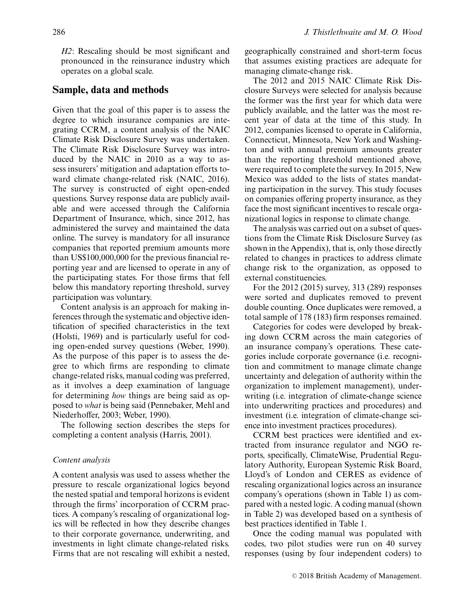*H2*: Rescaling should be most significant and pronounced in the reinsurance industry which operates on a global scale.

## **Sample, data and methods**

Given that the goal of this paper is to assess the degree to which insurance companies are integrating CCRM, a content analysis of the NAIC Climate Risk Disclosure Survey was undertaken. The Climate Risk Disclosure Survey was introduced by the NAIC in 2010 as a way to assess insurers' mitigation and adaptation efforts toward climate change-related risk (NAIC, 2016). The survey is constructed of eight open-ended questions. Survey response data are publicly available and were accessed through the California Department of Insurance, which, since 2012, has administered the survey and maintained the data online. The survey is mandatory for all insurance companies that reported premium amounts more than US\$100,000,000 for the previous financial reporting year and are licensed to operate in any of the participating states. For those firms that fell below this mandatory reporting threshold, survey participation was voluntary.

Content analysis is an approach for making inferences through the systematic and objective identification of specified characteristics in the text (Holsti, 1969) and is particularly useful for coding open-ended survey questions (Weber, 1990). As the purpose of this paper is to assess the degree to which firms are responding to climate change-related risks, manual coding was preferred, as it involves a deep examination of language for determining *how* things are being said as opposed to *what* is being said (Pennebaker, Mehl and Niederhoffer, 2003; Weber, 1990).

The following section describes the steps for completing a content analysis (Harris, 2001).

## *Content analysis*

A content analysis was used to assess whether the pressure to rescale organizational logics beyond the nested spatial and temporal horizons is evident through the firms' incorporation of CCRM practices. A company's rescaling of organizational logics will be reflected in how they describe changes to their corporate governance, underwriting, and investments in light climate change-related risks. Firms that are not rescaling will exhibit a nested, geographically constrained and short-term focus that assumes existing practices are adequate for managing climate-change risk.

The 2012 and 2015 NAIC Climate Risk Disclosure Surveys were selected for analysis because the former was the first year for which data were publicly available, and the latter was the most recent year of data at the time of this study. In 2012, companies licensed to operate in California, Connecticut, Minnesota, New York and Washington and with annual premium amounts greater than the reporting threshold mentioned above, were required to complete the survey. In 2015, New Mexico was added to the lists of states mandating participation in the survey. This study focuses on companies offering property insurance, as they face the most significant incentives to rescale organizational logics in response to climate change.

The analysis was carried out on a subset of questions from the Climate Risk Disclosure Survey (as shown in the Appendix), that is, only those directly related to changes in practices to address climate change risk to the organization, as opposed to external constituencies.

For the 2012 (2015) survey, 313 (289) responses were sorted and duplicates removed to prevent double counting. Once duplicates were removed, a total sample of 178 (183) firm responses remained.

Categories for codes were developed by breaking down CCRM across the main categories of an insurance company's operations. These categories include corporate governance (i.e. recognition and commitment to manage climate change uncertainty and delegation of authority within the organization to implement management), underwriting (i.e. integration of climate-change science into underwriting practices and procedures) and investment (i.e. integration of climate-change science into investment practices procedures).

CCRM best practices were identified and extracted from insurance regulator and NGO reports, specifically, ClimateWise, Prudential Regulatory Authority, European Systemic Risk Board, Lloyd's of London and CERES as evidence of rescaling organizational logics across an insurance company's operations (shown in Table 1) as compared with a nested logic. A coding manual (shown in Table 2) was developed based on a synthesis of best practices identified in Table 1.

Once the coding manual was populated with codes, two pilot studies were run on 40 survey responses (using by four independent coders) to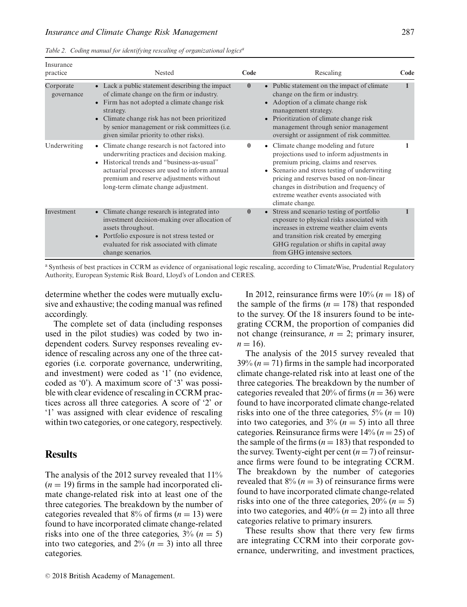|  | Table 2. Coding manual for identifying rescaling of organizational logics <sup>a</sup> |  |  |  |  |
|--|----------------------------------------------------------------------------------------|--|--|--|--|
|--|----------------------------------------------------------------------------------------|--|--|--|--|

| Insurance<br>practice   | Nested                                                                                                                                                                                                                                                                                                         | Code         | Rescaling                                                                                                                                                                                                                                                                                                                        | Code |
|-------------------------|----------------------------------------------------------------------------------------------------------------------------------------------------------------------------------------------------------------------------------------------------------------------------------------------------------------|--------------|----------------------------------------------------------------------------------------------------------------------------------------------------------------------------------------------------------------------------------------------------------------------------------------------------------------------------------|------|
| Corporate<br>governance | • Lack a public statement describing the impact<br>of climate change on the firm or industry.<br>Firm has not adopted a climate change risk<br>strategy.<br>• Climate change risk has not been prioritized<br>by senior management or risk committees ( <i>i.e.</i><br>given similar priority to other risks). | $\mathbf{0}$ | • Public statement on the impact of climate<br>change on the firm or industry.<br>• Adoption of a climate change risk<br>management strategy.<br>• Prioritization of climate change risk<br>management through senior management<br>oversight or assignment of risk committee.                                                   |      |
| Underwriting            | • Climate change research is not factored into<br>underwriting practices and decision making.<br>• Historical trends and "business-as-usual"<br>actuarial processes are used to inform annual<br>premium and reserve adjustments without<br>long-term climate change adjustment.                               | $\bf{0}$     | • Climate change modeling and future<br>projections used to inform adjustments in<br>premium pricing, claims and reserves.<br>• Scenario and stress testing of underwriting<br>pricing and reserves based on non-linear<br>changes in distribution and frequency of<br>extreme weather events associated with<br>climate change. |      |
| Investment              | • Climate change research is integrated into<br>investment decision-making over allocation of<br>assets throughout.<br>• Portfolio exposure is not stress tested or<br>evaluated for risk associated with climate<br>change scenarios.                                                                         | $\mathbf{0}$ | • Stress and scenario testing of portfolio<br>exposure to physical risks associated with<br>increases in extreme weather claim events<br>and transition risk created by emerging<br>GHG regulation or shifts in capital away<br>from GHG intensive sectors.                                                                      |      |

<sup>a</sup> Synthesis of best practices in CCRM as evidence of organisational logic rescaling, according to ClimateWise, Prudential Regulatory Authority, European Systemic Risk Board, Lloyd's of London and CERES.

determine whether the codes were mutually exclusive and exhaustive; the coding manual was refined accordingly.

The complete set of data (including responses used in the pilot studies) was coded by two independent coders. Survey responses revealing evidence of rescaling across any one of the three categories (i.e. corporate governance, underwriting, and investment) were coded as '1' (no evidence, coded as '0'). A maximum score of '3' was possible with clear evidence of rescaling in CCRM practices across all three categories. A score of '2' or '1' was assigned with clear evidence of rescaling within two categories, or one category, respectively.

## **Results**

The analysis of the 2012 survey revealed that 11%  $(n = 19)$  firms in the sample had incorporated climate change-related risk into at least one of the three categories. The breakdown by the number of categories revealed that  $8\%$  of firms ( $n = 13$ ) were found to have incorporated climate change-related risks into one of the three categories,  $3\%$  ( $n = 5$ ) into two categories, and  $2\%$  ( $n = 3$ ) into all three categories.

In 2012, reinsurance firms were  $10\%$   $(n = 18)$  of the sample of the firms  $(n = 178)$  that responded to the survey. Of the 18 insurers found to be integrating CCRM, the proportion of companies did not change (reinsurance,  $n = 2$ ; primary insurer,  $n = 16$ .

The analysis of the 2015 survey revealed that  $39\%$  ( $n = 71$ ) firms in the sample had incorporated climate change-related risk into at least one of the three categories. The breakdown by the number of categories revealed that 20% of firms ( $n = 36$ ) were found to have incorporated climate change-related risks into one of the three categories,  $5\%$  ( $n = 10$ ) into two categories, and  $3\%$  ( $n = 5$ ) into all three categories. Reinsurance firms were  $14\% (n = 25)$  of the sample of the firms ( $n = 183$ ) that responded to the survey. Twenty-eight per cent  $(n = 7)$  of reinsurance firms were found to be integrating CCRM. The breakdown by the number of categories revealed that  $8\%$  ( $n = 3$ ) of reinsurance firms were found to have incorporated climate change-related risks into one of the three categories,  $20\% (n = 5)$ into two categories, and  $40\%$  ( $n = 2$ ) into all three categories relative to primary insurers.

These results show that there very few firms are integrating CCRM into their corporate governance, underwriting, and investment practices,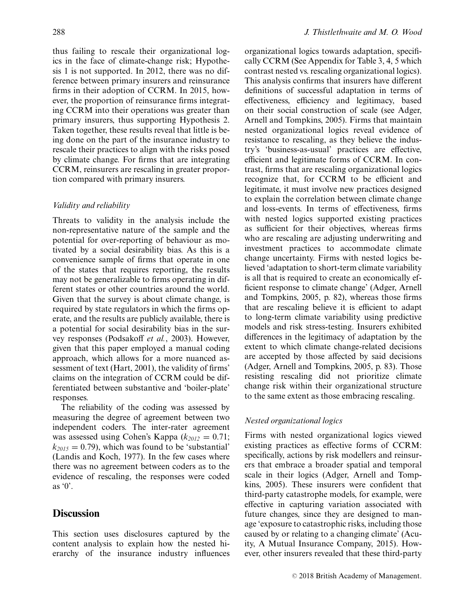thus failing to rescale their organizational logics in the face of climate-change risk; Hypothesis 1 is not supported. In 2012, there was no difference between primary insurers and reinsurance firms in their adoption of CCRM. In 2015, however, the proportion of reinsurance firms integrating CCRM into their operations was greater than primary insurers, thus supporting Hypothesis 2. Taken together, these results reveal that little is being done on the part of the insurance industry to rescale their practices to align with the risks posed by climate change. For firms that are integrating CCRM, reinsurers are rescaling in greater proportion compared with primary insurers.

## *Validity and reliability*

Threats to validity in the analysis include the non-representative nature of the sample and the potential for over-reporting of behaviour as motivated by a social desirability bias. As this is a convenience sample of firms that operate in one of the states that requires reporting, the results may not be generalizable to firms operating in different states or other countries around the world. Given that the survey is about climate change, is required by state regulators in which the firms operate, and the results are publicly available, there is a potential for social desirability bias in the survey responses (Podsakoff *et al.*, 2003). However, given that this paper employed a manual coding approach, which allows for a more nuanced assessment of text (Hart, 2001), the validity of firms' claims on the integration of CCRM could be differentiated between substantive and 'boiler-plate' responses.

The reliability of the coding was assessed by measuring the degree of agreement between two independent coders. The inter-rater agreement was assessed using Cohen's Kappa ( $k_{2012} = 0.71$ ;  $k_{2015} = 0.79$ , which was found to be 'substantial' (Landis and Koch, 1977). In the few cases where there was no agreement between coders as to the evidence of rescaling, the responses were coded as  $\mathcal{C}$ .

# **Discussion**

This section uses disclosures captured by the content analysis to explain how the nested hierarchy of the insurance industry influences

organizational logics towards adaptation, specifically CCRM (See Appendix for Table 3, 4, 5 which contrast nested vs. rescaling organizational logics). This analysis confirms that insurers have different definitions of successful adaptation in terms of effectiveness, efficiency and legitimacy, based on their social construction of scale (see Adger, Arnell and Tompkins, 2005). Firms that maintain nested organizational logics reveal evidence of resistance to rescaling, as they believe the industry's 'business-as-usual' practices are effective, efficient and legitimate forms of CCRM. In contrast, firms that are rescaling organizational logics recognize that, for CCRM to be efficient and legitimate, it must involve new practices designed to explain the correlation between climate change and loss-events. In terms of effectiveness, firms with nested logics supported existing practices as sufficient for their objectives, whereas firms who are rescaling are adjusting underwriting and investment practices to accommodate climate change uncertainty. Firms with nested logics believed 'adaptation to short-term climate variability is all that is required to create an economically efficient response to climate change' (Adger, Arnell and Tompkins, 2005, p. 82), whereas those firms that are rescaling believe it is efficient to adapt to long-term climate variability using predictive models and risk stress-testing. Insurers exhibited differences in the legitimacy of adaptation by the extent to which climate change-related decisions are accepted by those affected by said decisions (Adger, Arnell and Tompkins, 2005, p. 83). Those resisting rescaling did not prioritize climate change risk within their organizational structure to the same extent as those embracing rescaling.

### *Nested organizational logics*

Firms with nested organizational logics viewed existing practices as effective forms of CCRM: specifically, actions by risk modellers and reinsurers that embrace a broader spatial and temporal scale in their logics (Adger, Arnell and Tompkins, 2005). These insurers were confident that third-party catastrophe models, for example, were effective in capturing variation associated with future changes, since they are designed to manage 'exposure to catastrophic risks, including those caused by or relating to a changing climate' (Acuity, A Mutual Insurance Company, 2015). However, other insurers revealed that these third-party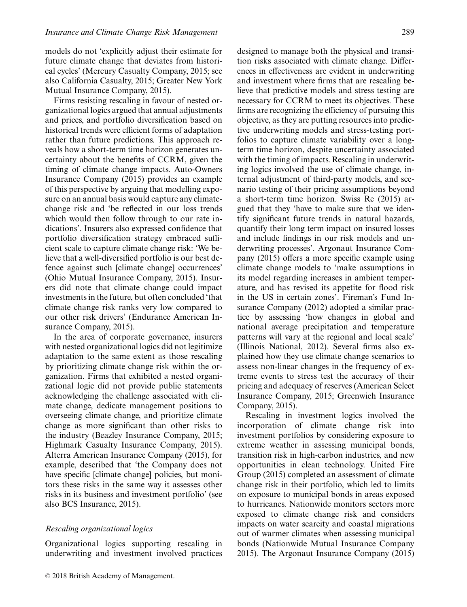models do not 'explicitly adjust their estimate for future climate change that deviates from historical cycles' (Mercury Casualty Company, 2015; see also California Casualty, 2015; Greater New York Mutual Insurance Company, 2015).

Firms resisting rescaling in favour of nested organizational logics argued that annual adjustments and prices, and portfolio diversification based on historical trends were efficient forms of adaptation rather than future predictions. This approach reveals how a short-term time horizon generates uncertainty about the benefits of CCRM, given the timing of climate change impacts. Auto-Owners Insurance Company (2015) provides an example of this perspective by arguing that modelling exposure on an annual basis would capture any climatechange risk and 'be reflected in our loss trends which would then follow through to our rate indications'. Insurers also expressed confidence that portfolio diversification strategy embraced sufficient scale to capture climate change risk: 'We believe that a well-diversified portfolio is our best defence against such [climate change] occurrences' (Ohio Mutual Insurance Company, 2015). Insurers did note that climate change could impact investments in the future, but often concluded 'that climate change risk ranks very low compared to our other risk drivers' (Endurance American Insurance Company, 2015).

In the area of corporate governance, insurers with nested organizational logics did not legitimize adaptation to the same extent as those rescaling by prioritizing climate change risk within the organization. Firms that exhibited a nested organizational logic did not provide public statements acknowledging the challenge associated with climate change, dedicate management positions to overseeing climate change, and prioritize climate change as more significant than other risks to the industry (Beazley Insurance Company, 2015; Highmark Casualty Insurance Company, 2015). Alterra American Insurance Company (2015), for example, described that 'the Company does not have specific [climate change] policies, but monitors these risks in the same way it assesses other risks in its business and investment portfolio' (see also BCS Insurance, 2015).

## *Rescaling organizational logics*

Organizational logics supporting rescaling in underwriting and investment involved practices designed to manage both the physical and transition risks associated with climate change. Differences in effectiveness are evident in underwriting and investment where firms that are rescaling believe that predictive models and stress testing are necessary for CCRM to meet its objectives. These firms are recognizing the efficiency of pursuing this objective, as they are putting resources into predictive underwriting models and stress-testing portfolios to capture climate variability over a longterm time horizon, despite uncertainty associated with the timing of impacts. Rescaling in underwriting logics involved the use of climate change, in-

ternal adjustment of third-party models, and scenario testing of their pricing assumptions beyond a short-term time horizon. Swiss Re (2015) argued that they 'have to make sure that we identify significant future trends in natural hazards, quantify their long term impact on insured losses and include findings in our risk models and underwriting processes'. Argonaut Insurance Company (2015) offers a more specific example using climate change models to 'make assumptions in its model regarding increases in ambient temperature, and has revised its appetite for flood risk in the US in certain zones'. Fireman's Fund Insurance Company (2012) adopted a similar practice by assessing 'how changes in global and national average precipitation and temperature patterns will vary at the regional and local scale' (Illinois National, 2012). Several firms also explained how they use climate change scenarios to assess non-linear changes in the frequency of extreme events to stress test the accuracy of their pricing and adequacy of reserves (American Select Insurance Company, 2015; Greenwich Insurance Company, 2015).

Rescaling in investment logics involved the incorporation of climate change risk into investment portfolios by considering exposure to extreme weather in assessing municipal bonds, transition risk in high-carbon industries, and new opportunities in clean technology. United Fire Group (2015) completed an assessment of climate change risk in their portfolio, which led to limits on exposure to municipal bonds in areas exposed to hurricanes. Nationwide monitors sectors more exposed to climate change risk and considers impacts on water scarcity and coastal migrations out of warmer climates when assessing municipal bonds (Nationwide Mutual Insurance Company 2015). The Argonaut Insurance Company (2015)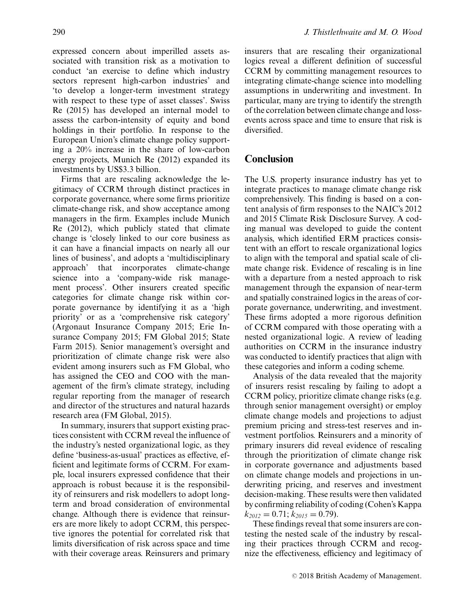expressed concern about imperilled assets associated with transition risk as a motivation to conduct 'an exercise to define which industry sectors represent high-carbon industries' and 'to develop a longer-term investment strategy with respect to these type of asset classes'. Swiss Re (2015) has developed an internal model to assess the carbon-intensity of equity and bond holdings in their portfolio. In response to the European Union's climate change policy supporting a 20% increase in the share of low-carbon energy projects, Munich Re (2012) expanded its investments by US\$3.3 billion.

Firms that are rescaling acknowledge the legitimacy of CCRM through distinct practices in corporate governance, where some firms prioritize climate-change risk, and show acceptance among managers in the firm. Examples include Munich Re (2012), which publicly stated that climate change is 'closely linked to our core business as it can have a financial impacts on nearly all our lines of business', and adopts a 'multidisciplinary approach' that incorporates climate-change science into a 'company-wide risk management process'. Other insurers created specific categories for climate change risk within corporate governance by identifying it as a 'high priority' or as a 'comprehensive risk category' (Argonaut Insurance Company 2015; Erie Insurance Company 2015; FM Global 2015; State Farm 2015). Senior management's oversight and prioritization of climate change risk were also evident among insurers such as FM Global, who has assigned the CEO and COO with the management of the firm's climate strategy, including regular reporting from the manager of research and director of the structures and natural hazards research area (FM Global, 2015).

In summary, insurers that support existing practices consistent with CCRM reveal the influence of the industry's nested organizational logic, as they define 'business-as-usual' practices as effective, efficient and legitimate forms of CCRM. For example, local insurers expressed confidence that their approach is robust because it is the responsibility of reinsurers and risk modellers to adopt longterm and broad consideration of environmental change. Although there is evidence that reinsurers are more likely to adopt CCRM, this perspective ignores the potential for correlated risk that limits diversification of risk across space and time with their coverage areas. Reinsurers and primary

insurers that are rescaling their organizational logics reveal a different definition of successful CCRM by committing management resources to integrating climate-change science into modelling assumptions in underwriting and investment. In particular, many are trying to identify the strength of the correlation between climate change and lossevents across space and time to ensure that risk is diversified.

# **Conclusion**

The U.S. property insurance industry has yet to integrate practices to manage climate change risk comprehensively. This finding is based on a content analysis of firm responses to the NAIC's 2012 and 2015 Climate Risk Disclosure Survey. A coding manual was developed to guide the content analysis, which identified ERM practices consistent with an effort to rescale organizational logics to align with the temporal and spatial scale of climate change risk. Evidence of rescaling is in line with a departure from a nested approach to risk management through the expansion of near-term and spatially constrained logics in the areas of corporate governance, underwriting, and investment. These firms adopted a more rigorous definition of CCRM compared with those operating with a nested organizational logic. A review of leading authorities on CCRM in the insurance industry was conducted to identify practices that align with these categories and inform a coding scheme.

Analysis of the data revealed that the majority of insurers resist rescaling by failing to adopt a CCRM policy, prioritize climate change risks (e.g. through senior management oversight) or employ climate change models and projections to adjust premium pricing and stress-test reserves and investment portfolios. Reinsurers and a minority of primary insurers did reveal evidence of rescaling through the prioritization of climate change risk in corporate governance and adjustments based on climate change models and projections in underwriting pricing, and reserves and investment decision-making. These results were then validated by confirming reliability of coding (Cohen's Kappa  $k_{2012} = 0.71$ ;  $k_{2015} = 0.79$ ).

These findings reveal that some insurers are contesting the nested scale of the industry by rescaling their practices through CCRM and recognize the effectiveness, efficiency and legitimacy of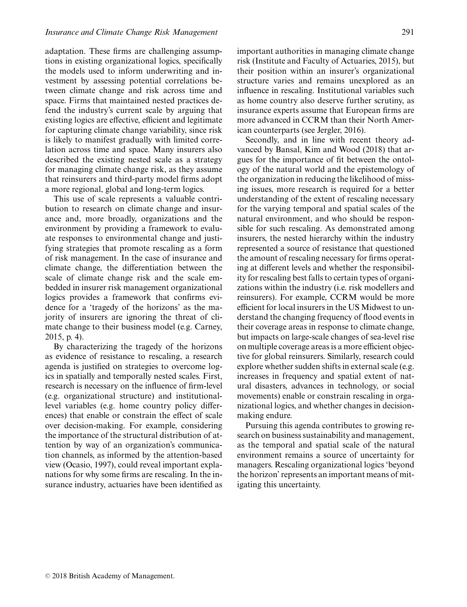adaptation. These firms are challenging assumptions in existing organizational logics, specifically the models used to inform underwriting and investment by assessing potential correlations between climate change and risk across time and space. Firms that maintained nested practices defend the industry's current scale by arguing that existing logics are effective, efficient and legitimate for capturing climate change variability, since risk is likely to manifest gradually with limited correlation across time and space. Many insurers also described the existing nested scale as a strategy for managing climate change risk, as they assume that reinsurers and third-party model firms adopt a more regional, global and long-term logics.

This use of scale represents a valuable contribution to research on climate change and insurance and, more broadly, organizations and the environment by providing a framework to evaluate responses to environmental change and justifying strategies that promote rescaling as a form of risk management. In the case of insurance and climate change, the differentiation between the scale of climate change risk and the scale embedded in insurer risk management organizational logics provides a framework that confirms evidence for a 'tragedy of the horizons' as the majority of insurers are ignoring the threat of climate change to their business model (e.g. Carney, 2015, p. 4).

By characterizing the tragedy of the horizons as evidence of resistance to rescaling, a research agenda is justified on strategies to overcome logics in spatially and temporally nested scales. First, research is necessary on the influence of firm-level (e.g. organizational structure) and institutionallevel variables (e.g. home country policy differences) that enable or constrain the effect of scale over decision-making. For example, considering the importance of the structural distribution of attention by way of an organization's communication channels, as informed by the attention-based view (Ocasio, 1997), could reveal important explanations for why some firms are rescaling. In the insurance industry, actuaries have been identified as important authorities in managing climate change risk (Institute and Faculty of Actuaries, 2015), but their position within an insurer's organizational structure varies and remains unexplored as an influence in rescaling. Institutional variables such as home country also deserve further scrutiny, as insurance experts assume that European firms are more advanced in CCRM than their North American counterparts (see Jergler, 2016).

Secondly, and in line with recent theory advanced by Bansal, Kim and Wood (2018) that argues for the importance of fit between the ontology of the natural world and the epistemology of the organization in reducing the likelihood of missing issues, more research is required for a better understanding of the extent of rescaling necessary for the varying temporal and spatial scales of the natural environment, and who should be responsible for such rescaling. As demonstrated among insurers, the nested hierarchy within the industry represented a source of resistance that questioned the amount of rescaling necessary for firms operating at different levels and whether the responsibility for rescaling best falls to certain types of organizations within the industry (i.e. risk modellers and reinsurers). For example, CCRM would be more efficient for local insurers in the US Midwest to understand the changing frequency of flood events in their coverage areas in response to climate change, but impacts on large-scale changes of sea-level rise on multiple coverage areas is a more efficient objective for global reinsurers. Similarly, research could explore whether sudden shifts in external scale (e.g. increases in frequency and spatial extent of natural disasters, advances in technology, or social movements) enable or constrain rescaling in organizational logics, and whether changes in decisionmaking endure.

Pursuing this agenda contributes to growing research on business sustainability and management, as the temporal and spatial scale of the natural environment remains a source of uncertainty for managers. Rescaling organizational logics 'beyond the horizon' represents an important means of mitigating this uncertainty.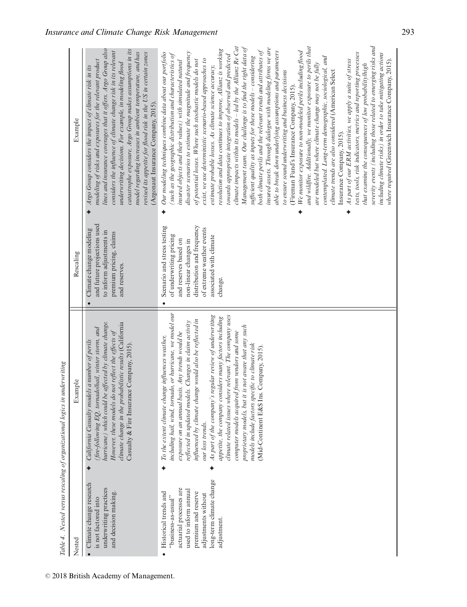|       | í                                               |
|-------|-------------------------------------------------|
|       |                                                 |
|       |                                                 |
|       |                                                 |
|       |                                                 |
|       |                                                 |
|       |                                                 |
|       |                                                 |
|       |                                                 |
|       |                                                 |
|       |                                                 |
|       |                                                 |
|       |                                                 |
|       |                                                 |
|       |                                                 |
|       |                                                 |
|       |                                                 |
|       | ı                                               |
|       |                                                 |
|       |                                                 |
|       |                                                 |
|       |                                                 |
|       | j                                               |
|       |                                                 |
|       |                                                 |
|       | Ì                                               |
|       |                                                 |
|       |                                                 |
|       |                                                 |
|       |                                                 |
|       |                                                 |
|       | ì                                               |
|       |                                                 |
|       |                                                 |
|       |                                                 |
|       |                                                 |
|       |                                                 |
|       | י<br>ו                                          |
|       |                                                 |
|       |                                                 |
|       |                                                 |
|       |                                                 |
|       |                                                 |
|       |                                                 |
|       |                                                 |
|       |                                                 |
|       | ֖ׅׅ֚֚֚֚֚֚֚֚֚֚֚֚֚֚֚֚֚֚֚֚֚֚֚֚֚֚֚֚֡֡֡֡֡֡֝֬֓֡֞֡֡֡֡֬ |
|       |                                                 |
|       |                                                 |
|       |                                                 |
|       |                                                 |
|       |                                                 |
|       | ì                                               |
|       |                                                 |
|       |                                                 |
|       |                                                 |
|       |                                                 |
|       |                                                 |
|       |                                                 |
|       |                                                 |
|       |                                                 |
|       |                                                 |
|       |                                                 |
|       |                                                 |
|       |                                                 |
|       |                                                 |
|       | t                                               |
|       |                                                 |
|       |                                                 |
|       |                                                 |
|       |                                                 |
|       |                                                 |
| ;<br> | ï                                               |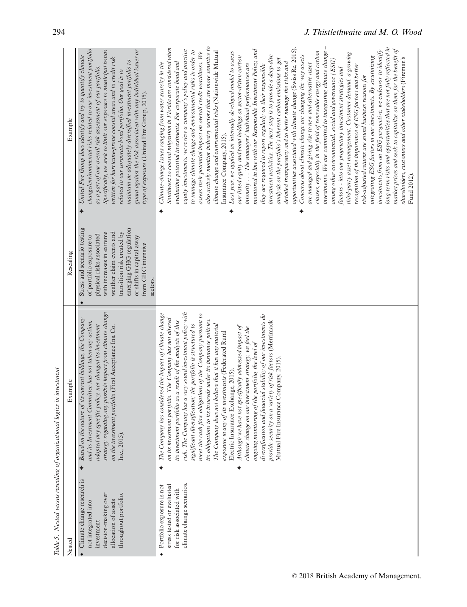Table 5. Nested versus rescaling of organizational logics in investment

|                                                                                                                                          | Table 5. Nested versus rescaling of organizational logics in investment                                                                                                                                                                                                                                                                                                                                                                                                                                                                                                                                                                                                                                                                                                                                                                                                                                                                              |                                                                                                                                                                                                                                                                      |                                                                                                                                                                                                                                                                                                                                                                                                                                                                                                                                                                                                                                                                                                                                                                                                                                                                                                                                                                                                                                                                                                                                                                                                                                                                                                                                                                                                                                                                                                                                                                                                                                                                                                                                                                                                                                                                                                                                                                                                                                                                                |
|------------------------------------------------------------------------------------------------------------------------------------------|------------------------------------------------------------------------------------------------------------------------------------------------------------------------------------------------------------------------------------------------------------------------------------------------------------------------------------------------------------------------------------------------------------------------------------------------------------------------------------------------------------------------------------------------------------------------------------------------------------------------------------------------------------------------------------------------------------------------------------------------------------------------------------------------------------------------------------------------------------------------------------------------------------------------------------------------------|----------------------------------------------------------------------------------------------------------------------------------------------------------------------------------------------------------------------------------------------------------------------|--------------------------------------------------------------------------------------------------------------------------------------------------------------------------------------------------------------------------------------------------------------------------------------------------------------------------------------------------------------------------------------------------------------------------------------------------------------------------------------------------------------------------------------------------------------------------------------------------------------------------------------------------------------------------------------------------------------------------------------------------------------------------------------------------------------------------------------------------------------------------------------------------------------------------------------------------------------------------------------------------------------------------------------------------------------------------------------------------------------------------------------------------------------------------------------------------------------------------------------------------------------------------------------------------------------------------------------------------------------------------------------------------------------------------------------------------------------------------------------------------------------------------------------------------------------------------------------------------------------------------------------------------------------------------------------------------------------------------------------------------------------------------------------------------------------------------------------------------------------------------------------------------------------------------------------------------------------------------------------------------------------------------------------------------------------------------------|
| Nested                                                                                                                                   | Example                                                                                                                                                                                                                                                                                                                                                                                                                                                                                                                                                                                                                                                                                                                                                                                                                                                                                                                                              | Rescaling                                                                                                                                                                                                                                                            | Example                                                                                                                                                                                                                                                                                                                                                                                                                                                                                                                                                                                                                                                                                                                                                                                                                                                                                                                                                                                                                                                                                                                                                                                                                                                                                                                                                                                                                                                                                                                                                                                                                                                                                                                                                                                                                                                                                                                                                                                                                                                                        |
| Climate change research is<br>decision-making over<br>throughout portfolio.<br>allocation of assets<br>not integrated into<br>investment | strategy regarding any possible impact from climate change<br>Based on the nature of its current holdings, the Company<br>and its Investment Committee has not taken any action,<br>adopted any specific policy, nor changed its investment<br>on the investment portfolio (First Acceptance Ins. Co.<br>Inc., 2015).                                                                                                                                                                                                                                                                                                                                                                                                                                                                                                                                                                                                                                | Stress and scenario testing<br>emerging GHG regulation<br>weather claim events and<br>transition risk created by<br>with increases in extreme<br>physical risks associated<br>of portfolio exposure to<br>or shifts in capital away<br>from GHG intensive<br>sectors | change/environmental risks related to our investment portfolio<br>Specifically, we seek to limit our exposure to municipal bonds<br>guard against the risk associated with any individual issuer or<br>United Fire Group does identify and try to quantify climate<br>written for hurricane-prone coastal areas and to credit risk<br>maintain an adequately diversified investment portfolio to<br>as a part of our overall risk assessment of our portfolio.<br>related to our corporate bond portfolio. Our goal is to<br>type of exposure (United Fire Group, 2015).                                                                                                                                                                                                                                                                                                                                                                                                                                                                                                                                                                                                                                                                                                                                                                                                                                                                                                                                                                                                                                                                                                                                                                                                                                                                                                                                                                                                                                                                                                       |
| climate change scenarios.<br>stress tested or evaluated<br>Portfolio exposure is not<br>for risk associated with                         | risk. The Company has a very sound investment policy with<br>The Company has considered the impact of climate change<br>meet the cash flow obligations of the Company pursuant to<br>diversification and financial stability of our investments do<br>portfolio. The Company has not altered<br>its obligations to its insureds under its insurance policies.<br>its investment portfolio as a result of the analysis of this<br>provide security on a variety of risk factors (Merrimack<br>The Company does not believe that it has any material<br>significant diversification; the portfolio is structured to<br>Although we have not specifically addressed impact of<br>climate change on our investment strategy, we feel the<br>exposure in any of its investments (Federated Rural<br>ongoing monitoring of the portfolio, the level of<br>Mutual Fire Insurance Company, 2015).<br>Electric Insurance Exchange, 2015)<br>on its investment |                                                                                                                                                                                                                                                                      | also actively monitor industry sectors that are more sensitive to<br>Southwest to coastal migration in Florida are considered when<br>long-term risks and opportunities that are not fully reflected in<br>equity investments, we review a company's policy and practice<br>opportunities associated with climate change (Swiss Re, 2015).<br>market prices and seek to capitalize on them for the benefit of<br>investments from an ESG perspective, we endeavor to identify<br>monitored in line with our Responsible Investment Policy, and<br>to manage climate change and environmental risks in order to<br>climate change and environmental risks (Nationwide Mutual<br>assess their potential impact on overall credit worthiness. We<br>classes, especially in the field of renewable energy and carbon<br>investments. We are committed to integrating climate change<br>Last year, we applied an internally developed model to assess<br>third-party asset management. Customer demand, a growing<br>investment activities. The next step is to provide a deep-dive<br>Concerns about climate change are changing the way assets<br>our listed equity and bond holdings on sector-driven carbon<br>integrating ESG factors in our investments. By scrutinizing<br>shareholders, customers and other stakeholders (Fireman's<br>analysis on the portfolio's inherent carbon emissions to get<br>among other environmental, social and governance ( $ESG$ )<br>evaluating potential investments. For corporate bond and<br>Climate-change issues ranging from water scarcity in the<br>detailed transparency and to better manage the risks and<br>intensity The managers' individual performances are<br>are managed and giving rise to new and alternative asset<br>recognition of the importance of ESG factors and better<br>they are required to report regularly on their responsible<br>factors - into our proprietary investment strategies and<br>risk-adjusted returns are sound business reasons for<br>Insurance Company, 2015).<br>Fund 2012).<br>٠<br>٠ |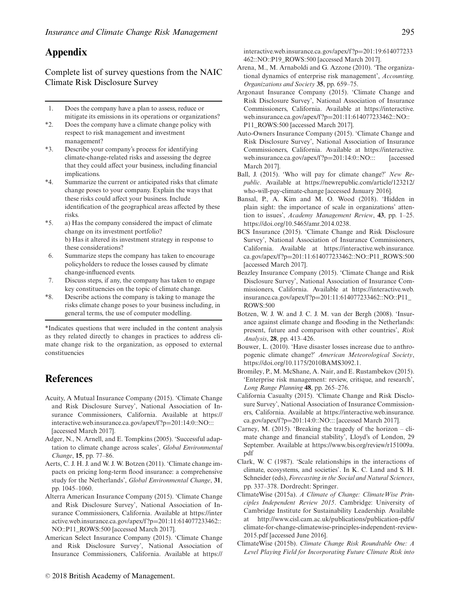# **Appendix**

Complete list of survey questions from the NAIC Climate Risk Disclosure Survey

- 1. Does the company have a plan to assess, reduce or mitigate its emissions in its operations or organizations?
- \*2. Does the company have a climate change policy with respect to risk management and investment management?
- \*3. Describe your company's process for identifying climate-change-related risks and assessing the degree that they could affect your business, including financial implications.
- \*4. Summarize the current or anticipated risks that climate change poses to your company. Explain the ways that these risks could affect your business. Include identification of the geographical areas affected by these risks.
- \*5. a) Has the company considered the impact of climate change on its investment portfolio? b) Has it altered its investment strategy in response to these considerations?
- 6. Summarize steps the company has taken to encourage policyholders to reduce the losses caused by climate change-influenced events.
- 7. Discuss steps, if any, the company has taken to engage key constituencies on the topic of climate change.
- \*8. Describe actions the company is taking to manage the risks climate change poses to your business including, in general terms, the use of computer modelling.

\*Indicates questions that were included in the content analysis as they related directly to changes in practices to address climate change risk to the organization, as opposed to external constituencies

# **References**

- Acuity, A Mutual Insurance Company (2015). 'Climate Change and Risk Disclosure Survey', National Association of Insurance Commissioners, California. Available at [https://](https://interactive.web.insurance.ca.gov/apex/f?p=201:14:0::NO:::) [interactive.web.insurance.ca.gov/apex/f ?p](https://interactive.web.insurance.ca.gov/apex/f?p=201:14:0::NO:::)=201:14:0::NO::: [accessed March 2017].
- Adger, N., N. Arnell, and E. Tompkins (2005). 'Successful adaptation to climate change across scales', *Global Environmental Change*, **15**, pp. 77–86.
- Aerts, C. J. H. J. and W. J. W. Botzen (2011). 'Climate change impacts on pricing long-term flood insurance: a comprehensive study for the Netherlands', *Global Environmental Change*, **31**, pp. 1045–1060.
- Alterra American Insurance Company (2015). 'Climate Change and Risk Disclosure Survey', National Association of Insurance Commissioners, California. Available at [https://inter](https://interactive.web.insurance.ca.gov/apex/f?p=201:11:614077233462::NO::P11_ROWS:500) [active.web.insurance.ca.gov/apex/f ?p](https://interactive.web.insurance.ca.gov/apex/f?p=201:11:614077233462::NO::P11_ROWS:500)=201:11:614077233462:: [NO::P11\\_ROWS:500](https://interactive.web.insurance.ca.gov/apex/f?p=201:11:614077233462::NO::P11_ROWS:500) [accessed March 2017].
- American Select Insurance Company (2015). 'Climate Change and Risk Disclosure Survey', National Association of Insurance Commissioners, California. Available at https://

interactive.web.insurance.ca.gov/apex/f ?p=201:19:614077233 462::NO::P19\_ROWS:500 [accessed March 2017].

- Arena, M., M. Arnaboldi and G. Azzone (2010). 'The organizational dynamics of enterprise risk management', *Accounting, Organizations and Society* **35**, pp. 659–75.
- Argonaut Insurance Company (2015). 'Climate Change and Risk Disclosure Survey', National Association of Insurance Commissioners, California. Available at [https://interactive.](https://interactive.web.insurance.ca.gov/apex/f?p=201:11:614077233462::NO::P11_ROWS:500) [web.insurance.ca.gov/apex/f ?p](https://interactive.web.insurance.ca.gov/apex/f?p=201:11:614077233462::NO::P11_ROWS:500)=201:11:614077233462::NO:: [P11\\_ROWS:500](https://interactive.web.insurance.ca.gov/apex/f?p=201:11:614077233462::NO::P11_ROWS:500) [accessed March 2017].
- Auto-Owners Insurance Company (2015). 'Climate Change and Risk Disclosure Survey', National Association of Insurance Commissioners, California. Available at [https://interactive.](https://interactive.web.insurance.ca.gov/apex/f?p=201:14:0::NO:::) [web.insurance.ca.gov/apex/f ?p](https://interactive.web.insurance.ca.gov/apex/f?p=201:14:0::NO:::)=201:14:0::NO::: [accessed March 2017].
- Ball, J. (2015). 'Who will pay for climate change?' *New Republic*. Available at [https://newrepublic.com/article/123212/](https://newrepublic.com/article/123212/who-will-pay-climate-change) [who-will-pay-climate-change](https://newrepublic.com/article/123212/who-will-pay-climate-change) [accessed January 2016].
- Bansal, P., A. Kim and M. O. Wood (2018). 'Hidden in plain sight: the importance of scale in organizations' attention to issues', *Academy Management Review*, **43**, pp. 1–25. [https://doi.org/10.5465/amr.2014.0238.](https://doi.org/10.5465/amr.2014.0238)
- BCS Insurance (2015). 'Climate Change and Risk Disclosure Survey', National Association of Insurance Commissioners, California. Available at [https://interactive.web.insurance.](https://interactive.web.insurance.ca.gov/apex/f?p=201:11:614077233462::NO::P11_ROWS:500) ca.gov/apex/f ?p=[201:11:614077233462::NO::P11\\_ROWS:500](https://interactive.web.insurance.ca.gov/apex/f?p=201:11:614077233462::NO::P11_ROWS:500) [accessed March 2017].
- Beazley Insurance Company (2015). 'Climate Change and Risk Disclosure Survey', National Association of Insurance Commissioners, California. Available at [https://interactive.web.](https://interactive.web.insurance.ca.gov/apex/f?p=201:11:614077233462::NO::P11_ROWS:500) insurance.ca.gov/apex/f ?p=[201:11:614077233462::NO::P11\\_](https://interactive.web.insurance.ca.gov/apex/f?p=201:11:614077233462::NO::P11_ROWS:500) [ROWS:500](https://interactive.web.insurance.ca.gov/apex/f?p=201:11:614077233462::NO::P11_ROWS:500)
- Botzen, W. J. W. and J. C. J. M. van der Bergh (2008). 'Insurance against climate change and flooding in the Netherlands: present, future and comparison with other countries', *Risk Analysis*, **28**, pp. 413–426.
- Bouwer, L. (2010). 'Have disaster losses increase due to anthropogenic climate change?' *American Meteorological Society*, [https://doi.org/10.1175/2010BAMS3092.1.](https://doi.org/10.1175/2010BAMS3092.1)
- Bromiley, P., M. McShane, A. Nair, and E. Rustambekov (2015). 'Enterprise risk management: review, critique, and research', *Long Range Planning* **48**, pp. 265–276.
- [California Casualty \(2015\). '](https://interactive.web.insurance.ca.gov/apex/f?p=201:19:614077233462::NO::P19_ROWS:500)Climate Change and Risk Disclosure Survey', National Association of Insurance Commissioners, California. Available at [https://interactive.web.insurance.](https://interactive.web.insurance.ca.gov/apex/f?p=201:14:0::NO:::) ca.gov/apex/f ?p=[201:14:0::NO:::](https://interactive.web.insurance.ca.gov/apex/f?p=201:14:0::NO:::) [accessed March 2017].
- Carney, M. (2015). 'Breaking the tragedy of the horizon climate change and financial stability', Lloyd's of London, 29 September. Available at [https://www.bis.org/review/r151009a.](https://www.bis.org/review/r151009a.pdf) [pdf](https://www.bis.org/review/r151009a.pdf)
- Clark, W. C (1987). 'Scale relationships in the interactions of climate, ecosystems, and societies'. In K. C. Land and S. H. Schneider (eds), *Forecasting in the Social and Natural Sciences*, pp. 337–378. Dordrecht: Springer.
- ClimateWise (2015a). *A Climate of Change: ClimateWise Principles Independent Review 2015*. Cambridge: University of Cambridge Institute for Sustainability Leadership. Available at [http://www.cisl.cam.ac.uk/publications/publication-pdfs/](http://www.cisl.cam.ac.uk/publications/publication-pdfs/climate-for-change-climatewise-principles-independent-review-2015.pdf) [climate-for-change-climatewise-principles-independent-review-](http://www.cisl.cam.ac.uk/publications/publication-pdfs/climate-for-change-climatewise-principles-independent-review-2015.pdf)[2015.pdf](http://www.cisl.cam.ac.uk/publications/publication-pdfs/climate-for-change-climatewise-principles-independent-review-2015.pdf) [accessed June 2016].
- ClimateWise (2015b). *Climate Change Risk Roundtable One: A Level Playing Field for Incorporating Future Climate Risk into*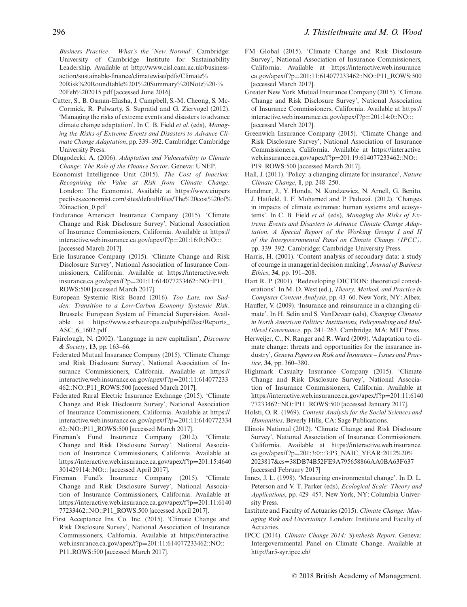*Business Practice – What's the 'New Normal*'. Cambridge: University of Cambridge Institute for Sustainability Leadership. Available at [http://www.cisl.cam.ac.uk/business](http://www.cisl.cam.ac.uk/business-action/sustainable-finance/climatewise/pdfs/Climate%20Risk%20Roundtable%201%20Summary%20Note%20-%20Feb%202015.pdf)[action/sustainable-finance/climatewise/pdfs/Climate%](http://www.cisl.cam.ac.uk/business-action/sustainable-finance/climatewise/pdfs/Climate%20Risk%20Roundtable%201%20Summary%20Note%20-%20Feb%202015.pdf) [20Risk%20Roundtable%201%20Summary%20Note%20-%](http://www.cisl.cam.ac.uk/business-action/sustainable-finance/climatewise/pdfs/Climate%20Risk%20Roundtable%201%20Summary%20Note%20-%20Feb%202015.pdf)

[20Feb%202015.pdf](http://www.cisl.cam.ac.uk/business-action/sustainable-finance/climatewise/pdfs/Climate%20Risk%20Roundtable%201%20Summary%20Note%20-%20Feb%202015.pdf) [accessed June 2016].

- Cutter, S., B. Osman-Elasha, J. Campbell, S.-M. Cheong, S. Mc-Cormick, R. Pulwarty, S. Supratid and G. Ziervogel (2012). 'Managing the risks of extreme events and disasters to advance climate change adaptation'. In C. B. Field *et al*. (eds), *Managing the Risks of Extreme Events and Disasters to Advance Climate Change Adaptation*, pp. 339–392. Cambridge: Cambridge University Press.
- Dlugodecki, A. (2006). *Adaptation and Vulnerability to Climate Change: The Role of the Finance Sector*. Geneva: UNEP.
- Economist Intelligence Unit (2015). *The Cost of Inaction: Recognising the Value at Risk from Climate Change*. London: The Economist. Available at [https://www.eiupers](https://www.eiuperspectives.economist.com/sites/default/files/The%20cost%20of%20inaction_0.pdf) [pectives.economist.com/sites/default/files/The%20cost%20of%](https://www.eiuperspectives.economist.com/sites/default/files/The%20cost%20of%20inaction_0.pdf) [20inaction\\_0.pdf](https://www.eiuperspectives.economist.com/sites/default/files/The%20cost%20of%20inaction_0.pdf)
- Endurance American Insurance Company (2015). 'Climate Change and Risk Disclosure Survey', National Association of Insurance Commissioners, California. Available at [https://](https://interactive.web.insurance.ca.gov/apex/f?p=201:16:0::NO:::) [interactive.web.insurance.ca.gov/apex/f ?p](https://interactive.web.insurance.ca.gov/apex/f?p=201:16:0::NO:::)=201:16:0::NO::: [accessed March 2017].
- Erie Insurance Company (2015). 'Climate Change and Risk Disclosure Survey', National Association of Insurance Commissioners, California. Available at [https://interactive.web.](https://interactive.web.insurance.ca.gov/apex/f?p=201:11:614077233462::NO::P11_ROWS:500) insurance.ca.gov/apex/f ?p=[201:11:614077233462::NO::P11\\_](https://interactive.web.insurance.ca.gov/apex/f?p=201:11:614077233462::NO::P11_ROWS:500) [ROWS:500](https://interactive.web.insurance.ca.gov/apex/f?p=201:11:614077233462::NO::P11_ROWS:500) [accessed March 2017].
- European Systemic Risk Board (2016). *Too Late, too Sudden: Transition to a Low-Carbon Economy Systemic Risk*. Brussels: European System of Financial Supervision. Available at [https://www.esrb.europa.eu/pub/pdf/asc/Reports\\_](https://www.esrb.europa.eu/pub/pdf/asc/Reports_ASC_6_1602.pdf) [ASC\\_6\\_1602.pdf](https://www.esrb.europa.eu/pub/pdf/asc/Reports_ASC_6_1602.pdf)
- Fairclough, N. (2002). 'Language in new capitalism', *Discourse & Society*, **13**, pp. 163–66.
- Federated Mutual Insurance Company (2015). 'Climate Change and Risk Disclosure Survey', National Association of Insurance Commissioners, California. Available at [https://](https://interactive.web.insurance.ca.gov/apex/f?p=201:11:614077233462::NO::P11_ROWS:500) [interactive.web.insurance.ca.gov/apex/f ?p](https://interactive.web.insurance.ca.gov/apex/f?p=201:11:614077233462::NO::P11_ROWS:500)=201:11:614077233 [462::NO::P11\\_ROWS:500](https://interactive.web.insurance.ca.gov/apex/f?p=201:11:614077233462::NO::P11_ROWS:500) [accessed March 2017].
- Federated Rural Electric Insurance Exchange (2015). 'Climate Change and Risk Disclosure Survey', National Association of Insurance Commissioners, California. Available at [https://](https://interactive.web.insurance.ca.gov/apex/f?p=201:11:614077233462::NO::P11_ROWS:500) [interactive.web.insurance.ca.gov/apex/f ?p](https://interactive.web.insurance.ca.gov/apex/f?p=201:11:614077233462::NO::P11_ROWS:500)=201:11:6140772334 [62::NO::P11\\_ROWS:500](https://interactive.web.insurance.ca.gov/apex/f?p=201:11:614077233462::NO::P11_ROWS:500) [accessed March 2017].
- Fireman's Fund Insurance Company (2012). 'Climate Change and Risk Disclosure Survey'. National Association of Insurance Commissioners, California. Available at [https://interactive.web.insurance.ca.gov/apex/f ?p](https://interactive.web.insurance.ca.gov/apex/f?p=201:15:4640301429114::NO:::)=201:15:4640 [301429114::NO:::](https://interactive.web.insurance.ca.gov/apex/f?p=201:15:4640301429114::NO:::) [accessed April 2017].
- Fireman Fund's Insurance Company (2015). 'Climate Change and Risk Disclosure Survey', National Association of Insurance Commissioners, California. Available at [https://interactive.web.insurance.ca.gov/apex/f ?p](https://interactive.web.insurance.ca.gov/apex/f?p=201:11:614077233462::NO::P11_ROWS:500)=201:11:6140 [77233462::NO::P11\\_ROWS:500](https://interactive.web.insurance.ca.gov/apex/f?p=201:11:614077233462::NO::P11_ROWS:500) [accessed April 2017].
- First Acceptance Ins. Co. Inc. (2015). 'Climate Change and Risk Disclosure Survey', National Association of Insurance Commissioners, California. Available at [https://interactive.](https://interactive.web.insurance.ca.gov/apex/f) [web.insurance.ca.gov/apex/f?](https://interactive.web.insurance.ca.gov/apex/f)p=201:11:614077233462::NO:: P11<sub>-ROWS:500</sub> [accessed March 2017].
- FM Global (2015). 'Climate Change and Risk Disclosure Survey', National Association of Insurance Commissioners, California. Available at [https://interactive.web.insurance.](https://interactive.web.insurance.ca.gov/apex/f?p=201:11:614077233462::NO::P11_ROWS:500) ca.gov/apex/f ?p=[201:11:614077233462::NO::P11\\_ROWS:500](https://interactive.web.insurance.ca.gov/apex/f?p=201:11:614077233462::NO::P11_ROWS:500) [accessed March 2017].
- Greater New York Mutual Insurance Company (2015). 'Climate Change and Risk Disclosure Survey', National Association of Insurance Commissioners, California. Available at [https://](https://interactive.web.insurance.ca.gov/apex/f?p=201:14:0::NO:::) interactive.web.insurance.ca.gov/apex/f?p=201:14:0::NO::: [accessed March 2017].
- Greenwich Insurance Company (2015). 'Climate Change and Risk Disclosure Survey', National Association of Insurance Commissioners, California. Available at [https://interactive.](https://interactive.web.insurance.ca.gov/apex/f?p=201:19:614077233462::NO::P19_ROWS:500) [web.insurance.ca.gov/apex/f ?p](https://interactive.web.insurance.ca.gov/apex/f?p=201:19:614077233462::NO::P19_ROWS:500)=201:19:614077233462::NO:: [P19\\_ROWS:500](https://interactive.web.insurance.ca.gov/apex/f?p=201:19:614077233462::NO::P19_ROWS:500) [accessed March 2017].
- Hall, J. (2011). 'Policy: a changing climate for insurance', *Nature Climate Change*, **1**, pp. 248–250.
- Handmer, J., Y. Honda, N. Kundzewicz, N. Arnell, G. Benito, J. Hatfield, I. F. Mohamed and P. Peduzzi. (2012). 'Changes in impacts of climate extremes: human systems and ecosystems'. In C. B. Field *et al*. (eds), *Managing the Risks of Extreme Events and Disasters to Advance Climate Change Adaptation. A Special Report of the Working Groups I and II of the Intergovernmental Panel on Climate Change (IPCC)*, pp. 339–392. Cambridge: Cambridge University Press.
- Harris, H. (2001). 'Content analysis of secondary data: a study of courage in managerial decision making', *Journal of Business Ethics*, **34**, pp. 191–208.
- Hart R. P. (2001). 'Redeveloping DICTION: theoretical considerations'. In M. D. West (ed.), *Theory, Method, and Practice in Computer Content Analysis*, pp. 43–60. New York, NY: Albex.
- Haufler, V. (2009). 'Insurance and reinsurance in a changing climate'. In H. Selin and S. VanDeveer (eds), *Changing Climates in North American Politics: Institutions, Policymaking and Multilevel Governance*. pp. 241–263. Cambridge, MA: MIT Press.
- Herweijer, C., N. Ranger and R. Ward (2009). 'Adaptation to climate change: threats and opportunities for the insurance industry', *Geneva Papers on Risk and Insurance – Issues and Practice*, **34**, pp. 360–380.
- Highmark Casualty Insurance Company (2015). 'Climate Change and Risk Disclosure Survey', National Association of Insurance Commissioners, California. Available at [https://interactive.web.insurance.ca.gov/apex/f ?p](https://interactive.web.insurance.ca.gov/apex/f?p=201:11:614077233462::NO::P11_ROWS:500)=201:11:6140 [77233462::NO::P11\\_ROWS:500](https://interactive.web.insurance.ca.gov/apex/f?p=201:11:614077233462::NO::P11_ROWS:500) [accessed January 2017].
- Holsti, O. R. (1969). *Content Analysis for the Social Sciences and Humanities*. Beverly Hills, CA: Sage Publications.
- Illinois National (2012). 'Climate Change and Risk Disclosure Survey', National Association of Insurance Commissioners, California. Available at [https://interactive.web.insurance.](https://interactive.web.insurance.ca.gov/apex/f?p=201:3:0:::3:P3_NAIC_YEAR:2012%20%2023817cs=38DB74B52FE9A795658866AA0BA63F637) ca.gov/apex/f ?p=[201:3:0:::3:P3\\_NAIC\\_YEAR:2012%20%](https://interactive.web.insurance.ca.gov/apex/f?p=201:3:0:::3:P3_NAIC_YEAR:2012%20%2023817cs=38DB74B52FE9A795658866AA0BA63F637) 2023817&cs=[38DB74B52FE9A795658866AA0BA63F637](https://interactive.web.insurance.ca.gov/apex/f?p=201:3:0:::3:P3_NAIC_YEAR:2012%20%2023817cs=38DB74B52FE9A795658866AA0BA63F637) [accessed February 2017]
- Innes, J. L. (1998). 'Measuring environmental change'. In D. L. Peterson and V. T. Parker (eds), *Ecological Scale: Theory and Applications*, pp. 429–457. New York, NY: Columbia University Press.
- Institute and Faculty of Actuaries (2015). *Climate Change: Managing Risk and Uncertainty*. London: Institute and Faculty of Actuaries.
- IPCC (2014). *Climate Change 2014: Synthesis Report*. Geneva: Intergovernmental Panel on Climate Change. Available at <http://ar5-syr.ipcc.ch/>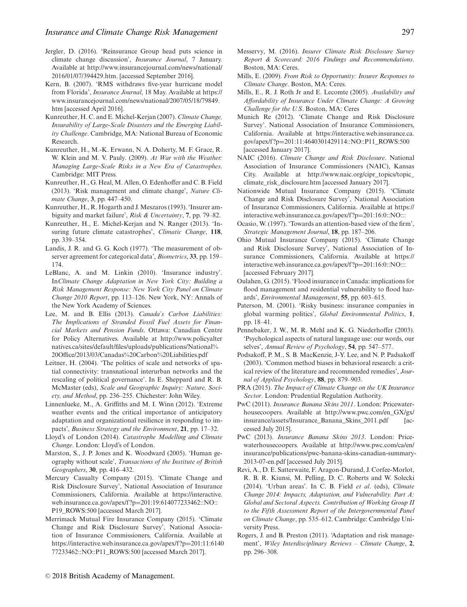- Jergler, D. (2016). 'Reinsurance Group head puts science in climate change discussion', *Insurance Journal*, 7 January. Available at [http://www.insurancejournal.com/news/national/](http://www.insurancejournal.com/news/national/2016/01/07/394429.htm) [2016/01/07/394429.htm.](http://www.insurancejournal.com/news/national/2016/01/07/394429.htm) [accessed September 2016].
- Kern, B. (2007). 'RMS withdraws five-year hurricane model from Florida', *Insurance Journal*, 18 May. Available at [https://](https://www.insurancejournal.com/news/national/2007/05/18/79849.htm) [www.insurancejournal.com/news/national/2007/05/18/79849.](https://www.insurancejournal.com/news/national/2007/05/18/79849.htm) [htm](https://www.insurancejournal.com/news/national/2007/05/18/79849.htm) [accessed April 2016].
- Kunreuther, H. C. and E. Michel-Kerjan (2007). *Climate Change, Insurability of Large-Scale Disasters and the Emerging Liability Challenge*. Cambridge, MA: National Bureau of Economic Research.
- Kunreuther, H., M.-K. Erwann, N. A. Doherty, M. F. Grace, R. W. Klein and M. V. Pauly. (2009). *At War with the Weather: Managing Large-Scale Risks in a New Era of Catastrophes*. Cambridge: MIT Press.
- Kunreuther, H., G. Heal, M. Allen, O. Edenhoffer and C. B. Field (2013). 'Risk management and climate change', *Nature Climate Change*, **3**, pp. 447–450.
- Kunreuther, H., R. Hogarth and J. Meszaros (1993). 'Insurer ambiguity and market failure', *Risk & Uncertainty*, **7**, pp. 79–82.
- Kunreuther, H., E. Michel-Kerjan and N. Ranger (2013). 'Insuring future climate catastrophes', *Climatic Change*, **118**, pp. 339–354.
- Landis, J. R. and G. G. Koch (1977). 'The measurement of observer agreement for categorical data', *Biometrics*, **33**, pp. 159– 174.
- LeBlanc, A. and M. Linkin (2010). 'Insurance industry'. In*Climate Change Adaptation in New York City: Building a Risk Management Response: New York City Panel on Climate Change 2010 Report*, pp. 113–126. New York, NY: Annals of the New York Academy of Sciences.
- Lee, M. and B. Ellis (2013). *Canada's Carbon Liabilities: The Implications of Stranded Fossil Fuel Assets for Financial Markets and Pension Funds*. Ottawa: Canadian Centre for Policy Alternatives. Available at [http://www.policyalter](http://www.policyalternatives.ca/sites/default/files/uploads/publications/National%20Office/2013/03/Canadas%20Carbon%20Liabilities.pdf) [natives.ca/sites/default/files/uploads/publications/National%](http://www.policyalternatives.ca/sites/default/files/uploads/publications/National%20Office/2013/03/Canadas%20Carbon%20Liabilities.pdf) [20Office/2013/03/Canadas%20Carbon%20Liabilities.pdf](http://www.policyalternatives.ca/sites/default/files/uploads/publications/National%20Office/2013/03/Canadas%20Carbon%20Liabilities.pdf)
- Leitner, H. (2004). 'The politics of scale and networks of spatial connectivity: transnational interurban networks and the rescaling of political governance'. In E. Sheppard and R. B. McMaster (eds), *Scale and Geographic Inquiry: Nature, Society, and Method*, pp. 236–255. Chichester: John Wiley.
- Linnenlueke, M., A. Griffiths and M. I. Winn (2012). 'Extreme weather events and the critical importance of anticipatory adaptation and organizational resilience in responding to impacts', *Business Strategy and the Environment*, **21**, pp. 17–32.
- Lloyd's of London (2014). *Catastrophe Modelling and Climate Change*. London: Lloyd's of London.
- Marston, S., J. P. Jones and K. Woodward (2005). 'Human geography without scale', *Transactions of the Institute of British Geographers*, **30**, pp. 416–432.
- Mercury Casualty Company (2015). 'Climate Change and Risk Disclosure Survey', National Association of Insurance Commissioners, California. Available at [https://interactive.](https://interactive.web.insurance.ca.gov/apex/f?p=201:19:614077233462::NO::P19_ROWS:500) [web.insurance.ca.gov/apex/f ?p](https://interactive.web.insurance.ca.gov/apex/f?p=201:19:614077233462::NO::P19_ROWS:500)=201:19:614077233462::NO:: [P19\\_ROWS:500](https://interactive.web.insurance.ca.gov/apex/f?p=201:19:614077233462::NO::P19_ROWS:500) [accessed March 2017].
- Merrimack Mutual Fire Insurance Company (2015). 'Climate Change and Risk Disclosure Survey', National Association of Insurance Commissioners, California. Available at [https://interactive.web.insurance.ca.gov/apex/f ?p](https://interactive.web.insurance.ca.gov/apex/f?p=201:11:614077233462::NO::P11_ROWS:500)=201:11:6140 [77233462::NO::P11\\_ROWS:500](https://interactive.web.insurance.ca.gov/apex/f?p=201:11:614077233462::NO::P11_ROWS:500) [accessed March 2017].
- Messervy, M. (2016). *Insurer Climate Risk Disclosure Survey Report & Scorecard: 2016 Findings and Recommendations*. Boston, MA: Ceres.
- Mills, E. (2009). *From Risk to Opportunity: Insurer Responses to Climate Change*. Boston, MA: Ceres.
- Mills, E., R. J. Roth Jr and E. Lecomte (2005). *Availability and Affordability of Insurance Under Climate Change: A Growing Challenge for the U.S*. Boston, MA: Ceres
- Munich Re (2012). 'Climate Change and Risk Disclosure Survey'. National Association of Insurance Commissioners, California. Available at [https://interactive.web.insurance.ca.](https://interactive.web.insurance.ca.gov/apex/f?p=201:11:4640301429114::NO::P11_ROWS:500) gov/apex/f ?p=[201:11:4640301429114::NO::P11\\_ROWS:500](https://interactive.web.insurance.ca.gov/apex/f?p=201:11:4640301429114::NO::P11_ROWS:500) [accessed January 2017].
- NAIC (2016). *Climate Change and Risk Disclosure*. National Association of Insurance Commissioners (NAIC), Kansas City. Available at [http://www.naic.org/cipr\\_topics/topic\\_](http://www.naic.org/cipr_topics/topic_climate_risk_disclosure.htm) [climate\\_risk\\_disclosure.htm](http://www.naic.org/cipr_topics/topic_climate_risk_disclosure.htm) [accessed January 2017].
- Nationwide Mutual Insurance Company (2015). 'Climate Change and Risk Disclosure Survey', National Association of Insurance Commissioners, California. Available at [https://](https://interactive.web.insurance.ca.gov/apex/f?p=201:16:0::NO:::) [interactive.web.insurance.ca.gov/apex/f ?p](https://interactive.web.insurance.ca.gov/apex/f?p=201:16:0::NO:::)=201:16:0::NO:::
- Ocasio, W. (1997). 'Towards an attention-based view of the firm', *Strategic Management Journal*, **18**, pp. 187–206.
- Ohio Mutual Insurance Company (2015). 'Climate Change and Risk Disclosure Survey', National Association of Insurance Commissioners, California. Available at [https://](https://interactive.web.insurance.ca.gov/apex/f?p=201:16:0::NO:::) [interactive.web.insurance.ca.gov/apex/f ?p](https://interactive.web.insurance.ca.gov/apex/f?p=201:16:0::NO:::)=201:16:0::NO::: [accessed February 2017].
- Oulahen, G. (2015). 'Flood insurance in Canada: implications for flood management and residential vulnerability to flood hazards', *Environmental Management*, **55**, pp. 603–615.
- Paterson, M. (2001). 'Risky business: insurance companies in global warming politics', *Global Environmental Politics*, **1**, pp. 18–41.
- Pennebaker, J. W., M. R. Mehl and K. G. Niederhoffer (2003). 'Psychological aspects of natural language use: our words, our selves', *Annual Review of Psychology*, **54**, pp. 547–577.
- Podsakoff, P. M., S. B. MacKenzie, J-Y. Lee, and N. P. Padsakoff (2003). 'Common method biases in behavioral research: a critical review of the literature and recommended remedies', *Journal of Applied Psychology*, **88**, pp. 879–903.
- PRA (2015). *The Impact of Climate Change on the UK Insurance Sector*. London: Prudential Regulation Authority.
- PwC (2011). *Insurance Banana Skins 2011*. London: Pricewaterhousecoopers. Available at [http://www.pwc.com/en\\_GX/gx/](http://www.pwc.com/en_GX/gx/insurance/assets/Insurance_Banana_Skins_2011.pdf) [insurance/assets/Insurance\\_Banana\\_Skins\\_2011.pdf](http://www.pwc.com/en_GX/gx/insurance/assets/Insurance_Banana_Skins_2011.pdf) [accessed July 2015].
- PwC (2013). *Insurance Banana Skins 2013*. London: Pricewaterhousecoopers. Available at [http://www.pwc.com/ca/en/](http://www.pwc.com/ca/en/insurance/publications/pwc-banana-skins-canadian-summary-2013-07-en.pdf) [insurance/publications/pwc-banana-skins-canadian-summary-](http://www.pwc.com/ca/en/insurance/publications/pwc-banana-skins-canadian-summary-2013-07-en.pdf)[2013-07-en.pdf](http://www.pwc.com/ca/en/insurance/publications/pwc-banana-skins-canadian-summary-2013-07-en.pdf) [accessed July 2015].
- Revi, A., D. E. Satterwaite, F. Aragon-Durand, J. Corfee-Morlot, R. B. R. Kiunsi, M. Pelling, D. C. Roberts and W. Solecki (2014). 'Urban areas'. In C. B. Field *et al*. (eds), *Climate Change 2014: Impacts, Adaptation, and Vulnerability. Part A: Global and Sectoral Aspects. Contribution of Working Group II to the Fifth Assessment Report of the Intergovernmental Panel on Climate Change*, pp. 535–612. Cambridge: Cambridge University Press.
- Rogers, J. and B. Preston (2011). 'Adaptation and risk management', *Wiley Interdisciplinary Reviews – Climate Change*, **2**, pp. 296–308.